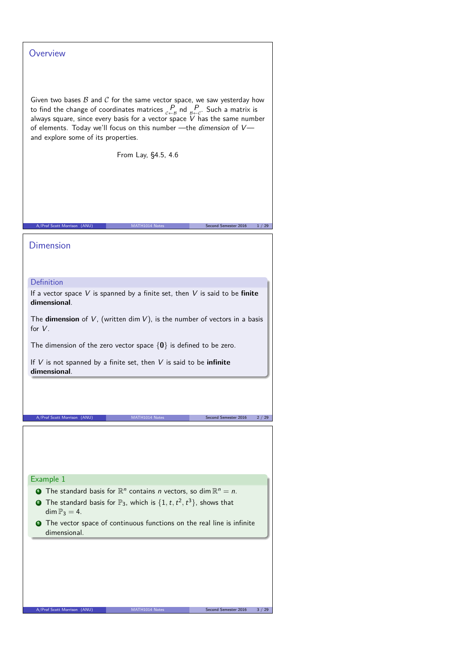## **Overview**

Given two bases  $B$  and  $C$  for the same vector space, we saw yesterday how to find the change of coordinates matrices  $\underset{c\leftarrow B}{P}$  nd  $\underset{B\leftarrow c}{P}$ . Such a matrix is<br>always square, since every basis for a vector space V has the same number of elements. Today we'll focus on this number —the dimension of V and explore some of its properties.

From Lay, §4.5, 4.6

A/Prof Scott Morrison (ANU) MATH1014 Notes Second Semester 2016 1/29

Dimension

Definition

If a vector space V is spanned by a finite set, then V is said to be **finite dimensional**.

The **dimension** of  $V$ , (written dim  $V$ ), is the number of vectors in a basis for V.

The dimension of the zero vector space {**0**} is defined to be zero.

If V is not spanned by a finite set, then V is said to be **infinite dimensional**.

A/Prof Scott Morrison (ANU) MATH1014 Notes Second Semester 2016 2 / 29

#### Example 1

- **1** The standard basis for  $\mathbb{R}^n$  contains *n* vectors, so dim  $\mathbb{R}^n = n$ .
- **2** The standard basis for  $\mathbb{P}_3$ , which is  $\{1, t, t^2, t^3\}$ , shows that dim  $\mathbb{P}_3 = 4$ .
- **3** The vector space of continuous functions on the real line is infinite dimensional.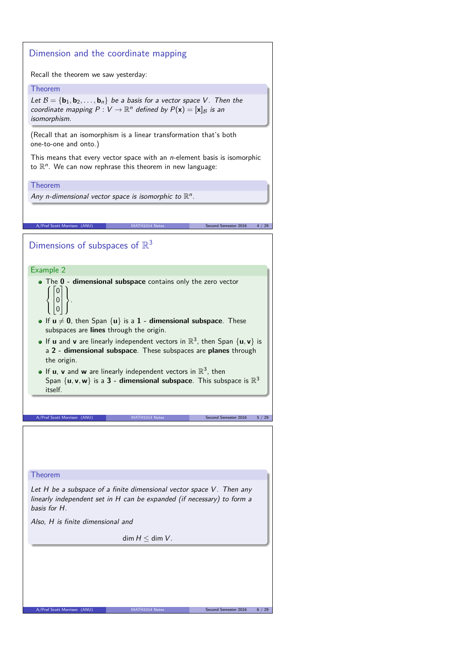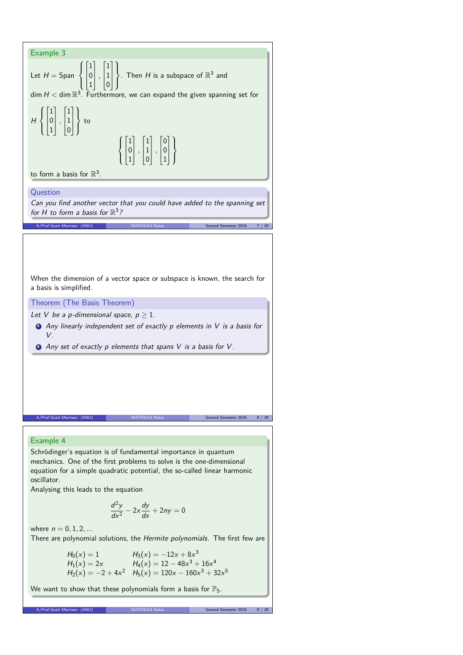

We want to show that these polynomials form a basis for  $\mathbb{P}_5$ .

A/Prof Scott Morrison (ANU) MATH1014 Notes Second Semester 2016 9 / 29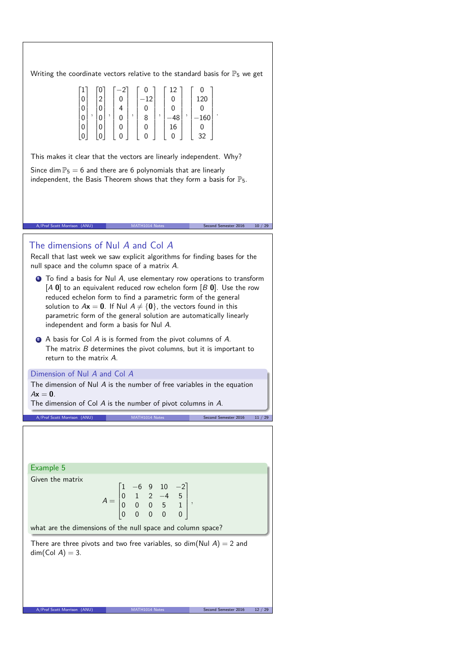| Writing the coordinate vectors relative to the standard basis for $\mathbb{P}_5$ we get                                                                                                                                                                                                                                                                                                                                                                                                                                                                                                                                       |
|-------------------------------------------------------------------------------------------------------------------------------------------------------------------------------------------------------------------------------------------------------------------------------------------------------------------------------------------------------------------------------------------------------------------------------------------------------------------------------------------------------------------------------------------------------------------------------------------------------------------------------|
| $\begin{bmatrix} 1 \\ 0 \\ 0 \\ 0 \\ 0 \\ 0 \\ 0 \end{bmatrix}, \begin{bmatrix} 2 \\ 0 \\ 0 \\ 0 \\ 0 \\ 0 \\ 0 \end{bmatrix}, \begin{bmatrix} 0 \\ 0 \\ 4 \\ 0 \\ 0 \\ 0 \\ 0 \end{bmatrix}, \begin{bmatrix} -12 \\ 0 \\ 0 \\ 8 \\ 0 \\ 0 \\ 0 \end{bmatrix}, \begin{bmatrix} 0 \\ 0 \\ 0 \\ -48 \\ 16 \\ 0 \\ 0 \end{bmatrix}, \begin{bmatrix} 120 \\ 0 \\ -160 \\ 0 \\ 32 \end{bmatrix}.$                                                                                                                                                                                                                                  |
| This makes it clear that the vectors are linearly independent. Why?                                                                                                                                                                                                                                                                                                                                                                                                                                                                                                                                                           |
| Since dim $\mathbb{P}_5 = 6$ and there are 6 polynomials that are linearly                                                                                                                                                                                                                                                                                                                                                                                                                                                                                                                                                    |
| independent, the Basis Theorem shows that they form a basis for $\mathbb{P}_5$ .                                                                                                                                                                                                                                                                                                                                                                                                                                                                                                                                              |
|                                                                                                                                                                                                                                                                                                                                                                                                                                                                                                                                                                                                                               |
|                                                                                                                                                                                                                                                                                                                                                                                                                                                                                                                                                                                                                               |
| A/Prof Scott Morrison (ANU)<br>Second Semester 2016<br>10 / 29<br>MATH1014 Notes                                                                                                                                                                                                                                                                                                                                                                                                                                                                                                                                              |
| The dimensions of Nul A and Col A<br>Recall that last week we saw explicit algorithms for finding bases for the<br>null space and the column space of a matrix A.<br>$\bullet$ To find a basis for Nul A, use elementary row operations to transform<br>$[A \ 0]$ to an equivalent reduced row echelon form $[B \ 0]$ . Use the row<br>reduced echelon form to find a parametric form of the general<br>solution to $A\mathbf{x} = \mathbf{0}$ . If Nul $A \neq \{\mathbf{0}\}\$ , the vectors found in this<br>parametric form of the general solution are automatically linearly<br>independent and form a basis for Nul A. |
| A basis for Col A is is formed from the pivot columns of A.<br>The matrix $B$ determines the pivot columns, but it is important to<br>return to the matrix $A$ .                                                                                                                                                                                                                                                                                                                                                                                                                                                              |
| Dimension of Nul A and Col A                                                                                                                                                                                                                                                                                                                                                                                                                                                                                                                                                                                                  |
| The dimension of Nul $A$ is the number of free variables in the equation<br>$Ax = 0$ .                                                                                                                                                                                                                                                                                                                                                                                                                                                                                                                                        |
|                                                                                                                                                                                                                                                                                                                                                                                                                                                                                                                                                                                                                               |
| The dimension of Col A is the number of pivot columns in A.                                                                                                                                                                                                                                                                                                                                                                                                                                                                                                                                                                   |
| A/Prof Scott Morrison (ANU)<br>MATH1014 Notes<br>Second Semester 2016<br>11 / 29                                                                                                                                                                                                                                                                                                                                                                                                                                                                                                                                              |
|                                                                                                                                                                                                                                                                                                                                                                                                                                                                                                                                                                                                                               |
| Example 5                                                                                                                                                                                                                                                                                                                                                                                                                                                                                                                                                                                                                     |
| Given the matrix                                                                                                                                                                                                                                                                                                                                                                                                                                                                                                                                                                                                              |
|                                                                                                                                                                                                                                                                                                                                                                                                                                                                                                                                                                                                                               |
| $A = \begin{bmatrix} 1 & -6 & 9 & 10 & -2 \\ 0 & 1 & 2 & -4 & 5 \\ 0 & 0 & 0 & 5 & 1 \\ 0 & 0 & 0 & 0 & 0 \end{bmatrix},$                                                                                                                                                                                                                                                                                                                                                                                                                                                                                                     |
| what are the dimensions of the null space and column space?                                                                                                                                                                                                                                                                                                                                                                                                                                                                                                                                                                   |
| There are three pivots and two free variables, so dim(Nul A) $=$ 2 and<br>$dim(Col A) = 3.$                                                                                                                                                                                                                                                                                                                                                                                                                                                                                                                                   |
|                                                                                                                                                                                                                                                                                                                                                                                                                                                                                                                                                                                                                               |
|                                                                                                                                                                                                                                                                                                                                                                                                                                                                                                                                                                                                                               |
|                                                                                                                                                                                                                                                                                                                                                                                                                                                                                                                                                                                                                               |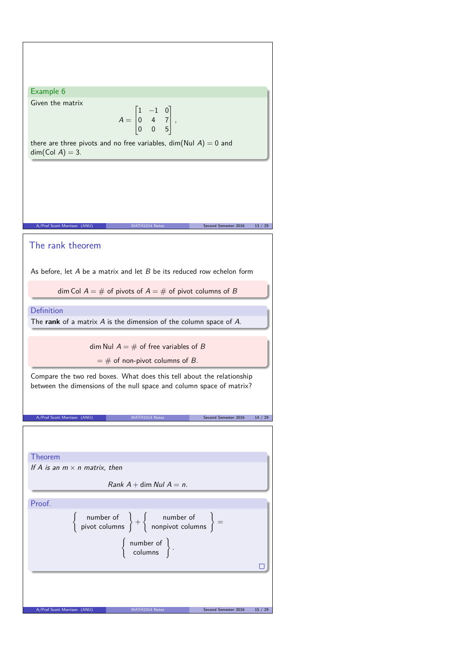Example 6

Given the matrix

$$
= \begin{bmatrix} 1 & -1 & 0 \\ 0 & 4 & 7 \\ 0 & 0 & 5 \end{bmatrix},
$$

there are three pivots and no free variables, dim(Nul  $A$ ) = 0 and dim(Col  $A$ ) = 3.

 $\overline{A}$ 

## The rank theorem

As before, let  $A$  be a matrix and let  $B$  be its reduced row echelon form

Second Semester 2016 13 / 29

dim Col  $A = #$  of pivots of  $A = #$  of pivot columns of B

Definition

The **rank** of a matrix A is the dimension of the column space of A.

dim Nul  $A = #$  of free variables of B  $=$  # of non-pivot columns of B.

A/Prof Scott Morrison (ANU) MATH1014 Notes Second Semester 2016 14 / 29

Compare the two red boxes. What does this tell about the relationship between the dimensions of the null space and column space of matrix?

Theorem

If A is an  $m \times n$  matrix, then

 $Rank A + dim Nul A = n.$ 

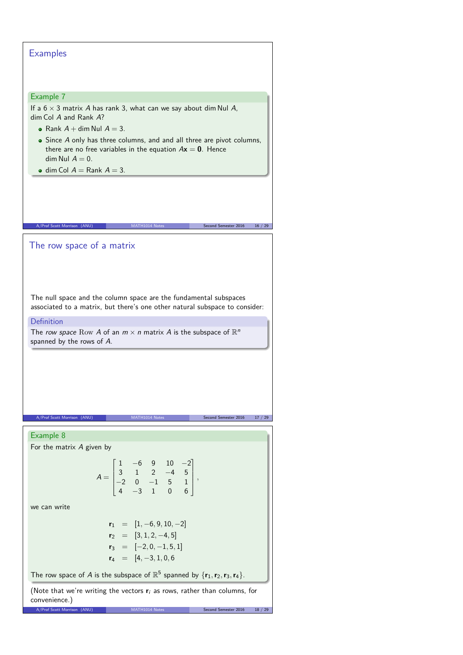| <b>Examples</b>                                                                                                                        |
|----------------------------------------------------------------------------------------------------------------------------------------|
|                                                                                                                                        |
| Example 7                                                                                                                              |
| If a $6 \times 3$ matrix A has rank 3, what can we say about dim Nul A,<br>$dim Col A$ and Rank $A$ ?                                  |
|                                                                                                                                        |
| • Rank $A + \dim \text{Nul } A = 3$ .                                                                                                  |
| • Since A only has three columns, and and all three are pivot columns,<br>there are no free variables in the equation $Ax = 0$ . Hence |
| $\dim$ Nul $A = 0$ .                                                                                                                   |
| • dim Col $A =$ Rank $A = 3$ .                                                                                                         |
|                                                                                                                                        |
|                                                                                                                                        |
|                                                                                                                                        |
|                                                                                                                                        |
| A/Prof Scott Morrison<br>(ANU)<br>Second Semester 2016<br>16 / 29                                                                      |
|                                                                                                                                        |
| The row space of a matrix                                                                                                              |
|                                                                                                                                        |
|                                                                                                                                        |
|                                                                                                                                        |
| The null space and the column space are the fundamental subspaces                                                                      |
| associated to a matrix, but there's one other natural subspace to consider:                                                            |
| Definition                                                                                                                             |
| The row space Row A of an $m \times n$ matrix A is the subspace of $\mathbb{R}^n$                                                      |
| spanned by the rows of A.                                                                                                              |
|                                                                                                                                        |
|                                                                                                                                        |
|                                                                                                                                        |
|                                                                                                                                        |
|                                                                                                                                        |
| A/Prof Scott Morrison (ANU)<br>MATH1014 Notes<br>Second Semester 2016<br>17/29                                                         |
|                                                                                                                                        |
| Example 8                                                                                                                              |
| For the matrix $A$ given by                                                                                                            |
|                                                                                                                                        |
| $A = \begin{bmatrix} 1 & -0 & 9 & 10 & -2 \\ 3 & 1 & 2 & -4 & 5 \\ -2 & 0 & -1 & 5 & 1 \\ 4 & 3 & 1 & 0 & 6 \end{bmatrix}$ ,           |
|                                                                                                                                        |
|                                                                                                                                        |
| we can write                                                                                                                           |
|                                                                                                                                        |
| $r_1 = [1, -6, 9, 10, -2]$                                                                                                             |
| $r_2 = [3, 1, 2, -4, 5]$                                                                                                               |
| $r_3 = [-2, 0, -1, 5, 1]$                                                                                                              |
| $r_4 = [4, -3, 1, 0, 6]$                                                                                                               |
| The row space of A is the subspace of $\mathbb{R}^5$ spanned by $\{r_1, r_2, r_3, r_4\}$ .                                             |
|                                                                                                                                        |
| (Note that we're writing the vectors $r_i$ as rows, rather than columns, for<br>convenience.)                                          |
| A/Prof Scott Morrison (ANU)<br>Second Semester 2016<br>18 / 29<br>MATH1014 Notes                                                       |
|                                                                                                                                        |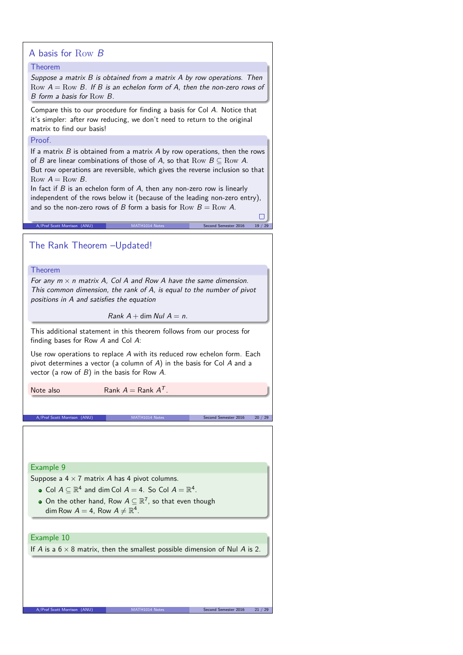# A basis for Row B Theorem

Suppose a matrix B is obtained from a matrix A by row operations. Then Row  $A =$  Row B. If B is an echelon form of A, then the non-zero rows of B form a basis for Row B.

Compare this to our procedure for finding a basis for Col A. Notice that it's simpler: after row reducing, we don't need to return to the original matrix to find our basis!

## Proof.

If a matrix  $B$  is obtained from a matrix  $A$  by row operations, then the rows of B are linear combinations of those of A, so that  $Row B \subseteq Row A$ . But row operations are reversible, which gives the reverse inclusion so that Row  $A = Row B$ .

In fact if  $B$  is an echelon form of  $A$ , then any non-zero row is linearly independent of the rows below it (because of the leading non-zero entry), and so the non-zero rows of B form a basis for  $Row B = Row A$ .

 $\Box$ A/Prof Scott Morrison (ANU) MATH1014 Notes Second Semester 2016 19 / 29

## The Rank Theorem –Updated!

## Theorem

For any  $m \times n$  matrix A, Col A and Row A have the same dimension. This common dimension, the rank of A, is equal to the number of pivot positions in A and satisfies the equation

Rank  $A$  + dim Nul  $A$  = n.

This additional statement in this theorem follows from our process for finding bases for Row A and Col A:

Use row operations to replace A with its reduced row echelon form. Each pivot determines a vector (a column of A) in the basis for Col A and a vector (a row of  $B$ ) in the basis for Row  $A$ .

Note also Rank  $A =$  Rank  $A^T$ .

A/Prof Scott Morrison (ANU)

Example 9

Suppose a  $4 \times 7$  matrix A has 4 pivot columns.

- Col  $A \subseteq \mathbb{R}^4$  and dim Col  $A = 4$ . So Col  $A = \mathbb{R}^4$ .
- On the other hand, Row  $A \subseteq \mathbb{R}^7$ , so that even though dim Row  $A = 4$ , Row  $A \neq \mathbb{R}^4$ .

## Example 10

If A is a  $6 \times 8$  matrix, then the smallest possible dimension of Nul A is 2.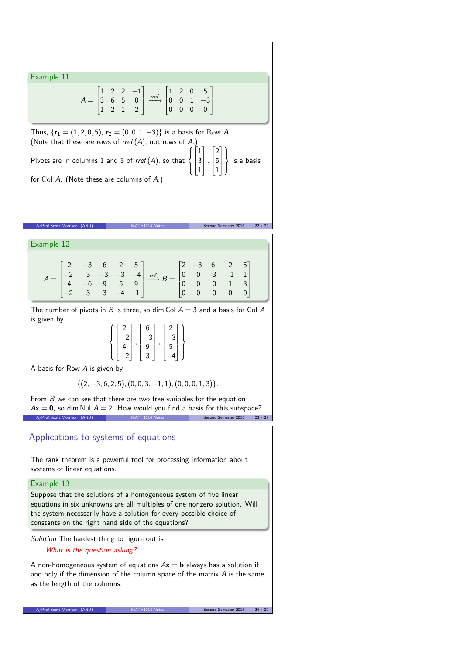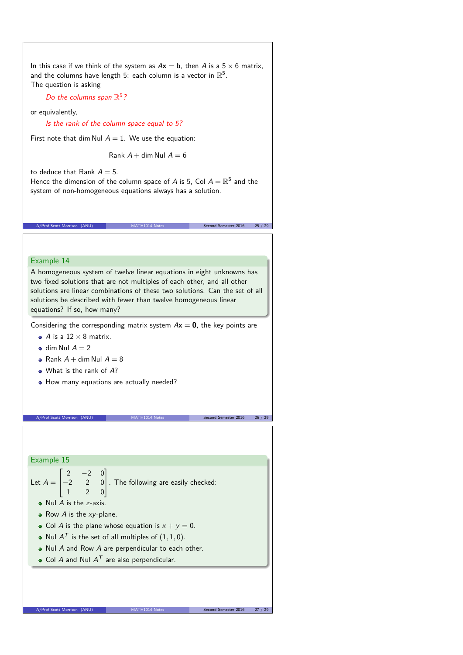In this case if we think of the system as  $Ax = b$ , then A is a  $5 \times 6$  matrix, and the columns have length 5: each column is a vector in  $\mathbb{R}^5$ . The question is asking

Do the columns span  $\mathbb{R}^5$ ?

or equivalently,

Is the rank of the column space equal to 5?

First note that dim Nul  $A = 1$ . We use the equation:

Rank  $A +$  dim Nul  $A = 6$ 

to deduce that Rank  $A = 5$ .

Hence the dimension of the column space of  $A$  is 5, Col  $A=\mathbb{R}^5$  and the system of non-homogeneous equations always has a solution.

A/Prof Scott Morrison (ANU) MATH1014 Notes Second Semester 2016 25 / 29 / 29

Example 14

A homogeneous system of twelve linear equations in eight unknowns has two fixed solutions that are not multiples of each other, and all other solutions are linear combinations of these two solutions. Can the set of all solutions be described with fewer than twelve homogeneous linear equations? If so, how many?

Considering the corresponding matrix system  $Ax = 0$ , the key points are

. The following are easily checked:

- $\bullet$  A is a 12  $\times$  8 matrix.
- $\bullet$  dim Nul  $A = 2$
- Rank  $A +$  dim Nul  $A = 8$
- What is the rank of A?
- How many equations are actually needed?

A/Prof Scott Morrison (ANU) MATH1014 N

### Example 15

Let 
$$
A = \begin{bmatrix} 2 & -2 & 0 \\ -2 & 2 & 0 \\ 1 & 2 & 0 \end{bmatrix}
$$

- $\bullet$  Nul A is the z-axis.
- $\bullet$  Row A is the xy-plane.
- Col A is the plane whose equation is  $x + y = 0$ .
- Nul  $A^{\mathcal{T}}$  is the set of all multiples of  $(1,1,0)$ .
- Nul A and Row A are perpendicular to each other.
- Col A and Nul  $A<sup>T</sup>$  are also perpendicular.

 $\overline{0}$